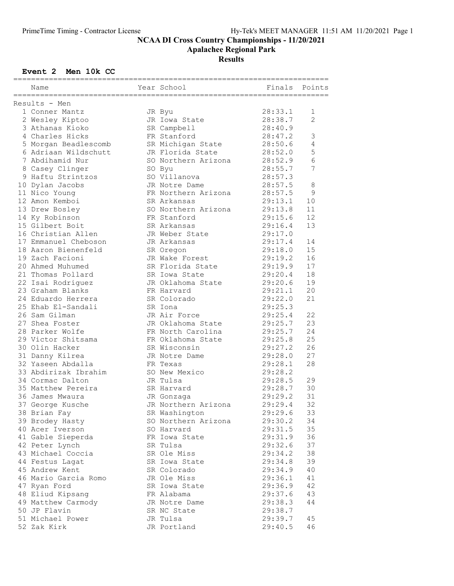Apalachee Regional Park

## **Results**

### Event 2 Men 10k CC

| Name                 | Year School         | Finals             | Points         |
|----------------------|---------------------|--------------------|----------------|
| Results - Men        |                     |                    |                |
| 1 Conner Mantz       | JR Byu              | 28:33.1            | 1              |
| 2 Wesley Kiptoo      | JR Iowa State       | 28:38.7            | $\overline{c}$ |
| 3 Athanas Kioko      |                     |                    |                |
|                      | SR Campbell         | 28:40.9            |                |
| 4 Charles Hicks      | FR Stanford         | 28:47.2            | 3              |
| 5 Morgan Beadlescomb | SR Michigan State   | 28:50.6            | 4              |
| 6 Adriaan Wildschutt | JR Florida State    | 28:52.0            | 5              |
| 7 Abdihamid Nur      | SO Northern Arizona | 28:52.9            | $\sqrt{6}$     |
| 8 Casey Clinger      | SO Byu              | 28:55.7            | 7              |
| 9 Haftu Strintzos    | SO Villanova        | 28:57.3            |                |
| 10 Dylan Jacobs      | JR Notre Dame       | 28:57.5            | 8              |
| 11 Nico Young        | FR Northern Arizona | 28:57.5            | 9              |
| 12 Amon Kemboi       | SR Arkansas         | 29:13.1            | 10             |
| 13 Drew Bosley       | SO Northern Arizona | 29:13.8            | 11             |
| 14 Ky Robinson       | FR Stanford         | 29:15.6            | 12             |
| 15 Gilbert Boit      | SR Arkansas         | 29:16.4            | 13             |
| 16 Christian Allen   | JR Weber State      | 29:17.0            |                |
| 17 Emmanuel Cheboson | JR Arkansas         | 29:17.4            | 14             |
| 18 Aaron Bienenfeld  | SR Oregon           | 29:18.0            | 15             |
| 19 Zach Facioni      | JR Wake Forest      |                    | 16             |
| 20 Ahmed Muhumed     | SR Florida State    | 29:19.2<br>29:19.9 | 17             |
| 21 Thomas Pollard    | SR Iowa State       | 29:20.4            | 18             |
|                      |                     | 29:20.6            |                |
| 22 Isai Rodriguez    | JR Oklahoma State   |                    | 19             |
| 23 Graham Blanks     | FR Harvard          | 29:21.1            | 20             |
| 24 Eduardo Herrera   | SR Colorado         | 29:22.0            | 21             |
| 25 Ehab El-Sandali   | SR Iona             | 29:25.3            |                |
| 26 Sam Gilman        | JR Air Force        | 29:25.4            | 22             |
| 27 Shea Foster       | JR Oklahoma State   | 29:25.7            | 23             |
| 28 Parker Wolfe      | FR North Carolina   | 29:25.7            | 24             |
| 29 Victor Shitsama   | FR Oklahoma State   | 29:25.8            | 25             |
| 30 Olin Hacker       | SR Wisconsin        | 29:27.2            | 26             |
| 31 Danny Kilrea      | JR Notre Dame       | 29:28.0            | 27             |
| 32 Yaseen Abdalla    | FR Texas            | 29:28.1            | 28             |
| 33 Abdirizak Ibrahim | SO New Mexico       | 29:28.2            |                |
| 34 Cormac Dalton     | JR Tulsa            | 29:28.5            | 29             |
| 35 Matthew Pereira   | SR Harvard          | 29:28.7            | 30             |
| 36 James Mwaura      | JR Gonzaga          | 29:29.2            | 31             |
| 37 George Kusche     | JR Northern Arizona | 29:29.4            | 32             |
| 38 Brian Fay         | SR Washington       | 29:29.6            | 33             |
| 39 Brodey Hasty      | SO Northern Arizona | 29:30.2            | 34             |
| 40 Acer Iverson      | SO Harvard          | 29:31.5            | 35             |
| 41 Gable Sieperda    | FR Iowa State       | 29:31.9            | 36             |
| 42 Peter Lynch       | SR Tulsa            | 29:32.6            | 37             |
|                      |                     |                    |                |
| 43 Michael Coccia    | SR Ole Miss         | 29:34.2            | 38             |
| 44 Festus Lagat      | SR Iowa State       | 29:34.8            | 39             |
| 45 Andrew Kent       | SR Colorado         | 29:34.9            | 40             |
| 46 Mario Garcia Romo | JR Ole Miss         | 29:36.1            | 41             |
| 47 Ryan Ford         | SR Iowa State       | 29:36.9            | 42             |
| 48 Eliud Kipsang     | FR Alabama          | 29:37.6            | 43             |
| 49 Matthew Carmody   | JR Notre Dame       | 29:38.3            | 44             |
| 50 JP Flavin         | SR NC State         | 29:38.7            |                |
| 51 Michael Power     | JR Tulsa            | 29:39.7            | 45             |
| 52 Zak Kirk          | JR Portland         | 29:40.5            | 46             |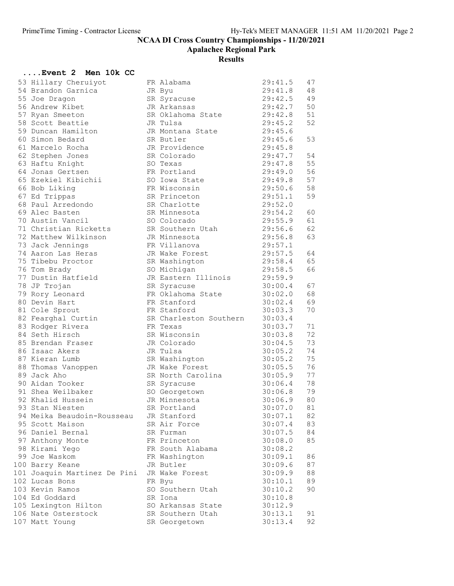Apalachee Regional Park

| Event 2 Men 10k CC                 |                                    |                    |    |
|------------------------------------|------------------------------------|--------------------|----|
| 53 Hillary Cheruiyot               | FR Alabama                         | 29:41.5            | 47 |
| 54 Brandon Garnica                 | JR Byu                             | 29:41.8            | 48 |
| 55 Joe Dragon                      | SR Syracuse                        | 29:42.5            | 49 |
| 56 Andrew Kibet                    | JR Arkansas                        | 29:42.7            | 50 |
| 57 Ryan Smeeton                    | SR Oklahoma State                  | 29:42.8            | 51 |
| 58 Scott Beattie                   | JR Tulsa                           | 29:45.2            | 52 |
| 59 Duncan Hamilton                 | JR Montana State                   | 29:45.6            |    |
| 60 Simon Bedard                    | SR Butler                          | 29:45.6            | 53 |
| 61 Marcelo Rocha                   | JR Providence                      | 29:45.8            |    |
| 62 Stephen Jones                   | SR Colorado                        | 29:47.7            | 54 |
| 63 Haftu Knight                    | SO Texas                           | 29:47.8            | 55 |
| 64 Jonas Gertsen                   | FR Portland                        | 29:49.0            | 56 |
| 65 Ezekiel Kibichii                | SO Iowa State                      | 29:49.8            | 57 |
| 66 Bob Liking                      | FR Wisconsin                       | 29:50.6            | 58 |
| 67 Ed Trippas                      | SR Princeton                       | 29:51.1            | 59 |
| 68 Paul Arredondo                  | SR Charlotte                       | 29:52.0            |    |
| 69 Alec Basten                     | SR Minnesota                       | 29:54.2            | 60 |
| 70 Austin Vancil                   | SO Colorado                        | 29:55.9            | 61 |
| 71 Christian Ricketts              | SR Southern Utah                   | 29:56.6            | 62 |
| 72 Matthew Wilkinson               | JR Minnesota                       | 29:56.8            | 63 |
| 73 Jack Jennings                   | FR Villanova                       | 29:57.1            |    |
| 74 Aaron Las Heras                 | JR Wake Forest                     | 29:57.5            | 64 |
| 75 Tibebu Proctor                  | SR Washington                      | 29:58.4            | 65 |
| 76 Tom Brady<br>77 Dustin Hatfield | SO Michigan<br>JR Eastern Illinois | 29:58.5<br>29:59.9 | 66 |
| 78 JP Trojan                       |                                    | 30:00.4            | 67 |
| 79 Rory Leonard                    | SR Syracuse<br>FR Oklahoma State   | 30:02.0            | 68 |
| 80 Devin Hart                      | FR Stanford                        | 30:02.4            | 69 |
| 81 Cole Sprout                     | FR Stanford                        | 30:03.3            | 70 |
| 82 Fearghal Curtin                 | SR Charleston Southern             | 30:03.4            |    |
| 83 Rodger Rivera                   | FR Texas                           | 30:03.7            | 71 |
| 84 Seth Hirsch                     | SR Wisconsin                       | 30:03.8            | 72 |
| 85 Brendan Fraser                  | JR Colorado                        | 30:04.5            | 73 |
| 86 Isaac Akers                     | JR Tulsa                           | 30:05.2            | 74 |
| 87 Kieran Lumb                     | SR Washington                      | 30:05.2            | 75 |
| 88 Thomas Vanoppen                 | JR Wake Forest                     | 30:05.5            | 76 |
| 89 Jack Aho                        | SR North Carolina                  | 30:05.9            | 77 |
| 90 Aidan Tooker                    | SR Syracuse                        | 30:06.4            | 78 |
| 91 Shea Weilbaker                  | SO Georgetown                      | 30:06.8            | 79 |
| 92 Khalid Hussein                  | JR Minnesota                       | 30:06.9            | 80 |
| 93 Stan Niesten                    | SR Portland                        | 30:07.0            | 81 |
| 94 Meika Beaudoin-Rousseau         | JR Stanford                        | 30:07.1            | 82 |
| 95 Scott Maison                    | SR Air Force                       | 30:07.4            | 83 |
| 96 Daniel Bernal                   | SR Furman                          | 30:07.5            | 84 |
| 97 Anthony Monte                   | FR Princeton                       | 30:08.0            | 85 |
| 98 Kirami Yego                     | FR South Alabama                   | 30:08.2            |    |
| 99 Joe Waskom                      | FR Washington                      | 30:09.1            | 86 |
| 100 Barry Keane                    | JR Butler                          | 30:09.6            | 87 |
| 101 Joaquin Martinez De Pini       | JR Wake Forest                     | 30:09.9            | 88 |
| 102 Lucas Bons                     | FR Byu                             | 30:10.1            | 89 |
| 103 Kevin Ramos                    | SO Southern Utah                   | 30:10.2            | 90 |
| 104 Ed Goddard                     | SR Iona                            | 30:10.8            |    |
| 105 Lexington Hilton               | SO Arkansas State                  | 30:12.9            |    |
| 106 Nate Osterstock                | SR Southern Utah                   | 30:13.1            | 91 |
| 107 Matt Young                     | SR Georgetown                      | 30:13.4            | 92 |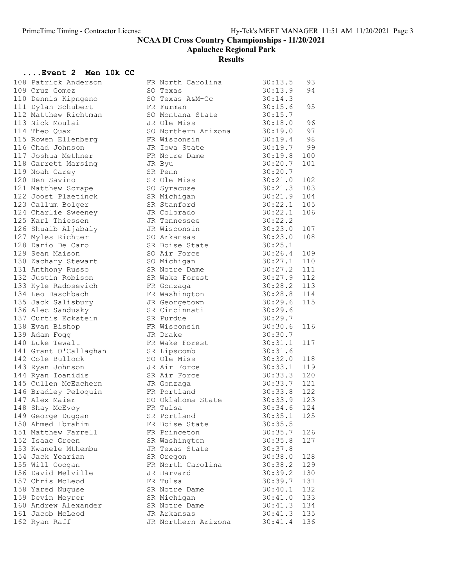Apalachee Regional Park

# **Results**

### ....Event 2 Men 10k CC

| 108 Patrick Anderson              | FR North Carolina   | 30:13.5       | 93  |
|-----------------------------------|---------------------|---------------|-----|
| 109 Cruz Gomez                    | SO Texas            | 30:13.9       | 94  |
| 110 Dennis Kipngeno               | SO Texas A&M-Cc     | 30:14.3       |     |
| 111 Dylan Schubert                | FR Furman           | 30:15.6       | 95  |
| 112 Matthew Richtman              | SO Montana State    | 30:15.7       |     |
| 113 Nick Moulai                   | JR Ole Miss         | 30:18.0       | 96  |
| 114 Theo Quax                     | SO Northern Arizona | 30:19.0       | 97  |
| 115 Rowen Ellenberg               | FR Wisconsin        | 30:19.4       | 98  |
| 116 Chad Johnson                  | JR Iowa State       | 30:19.7       | 99  |
| 117 Joshua Methner                | FR Notre Dame       | 30:19.8       | 100 |
| 118 Garrett Marsing               | JR Byu              | 30:20.7       | 101 |
| 119 Noah Carey                    | SR Penn             | 30:20.7       |     |
| 120 Ben Savino                    | SR Ole Miss         | 30:21.0       | 102 |
| 121 Matthew Scrape                | SO Syracuse         | 30:21.3       | 103 |
| 122 Joost Plaetinck               | SR Michigan         | 30:21.9       | 104 |
| 123 Callum Bolger                 | SR Stanford         | 30:22.1       | 105 |
| 123 Summer<br>124 Charlie Sweeney | JR Colorado         | 30:22.1       | 106 |
| 125 Karl Thiessen                 | JR Tennessee        | 30:22.2       |     |
| 126 Shuaib Aljabaly               | JR Wisconsin        | 30:23.0       | 107 |
| 127 Myles Richter                 | SO Arkansas         | 30:23.0       | 108 |
| 128 Dario De Caro                 | SR Boise State      | 30:25.1       |     |
| 129 Sean Maison                   | SO Air Force        | 30:26.4       | 109 |
| 130 Zachary Stewart               | SO Michigan         | 30:27.1       | 110 |
| 131 Anthony Russo                 | SR Notre Dame       | 30:27.2       | 111 |
| 132 Justin Robison                | SR Wake Forest      | 30:27.9       | 112 |
| 133 Kyle Radosevich               | FR Gonzaga          | 30:28.2       | 113 |
| 134 Leo Daschbach                 | FR Washington       | 30:28.8       | 114 |
| 135 Jack Salisbury                | JR Georgetown       | 30:29.6       | 115 |
| 136 Alec Sandusky                 | SR Cincinnati       | 30:29.6       |     |
| 137 Curtis Eckstein               | SR Purdue           | 30:29.7       |     |
| 138 Evan Bishop                   | FR Wisconsin        | 30:30.6       | 116 |
| 139 Adam Fogg                     | JR Drake            | 30:30.7       |     |
| 140 Luke Tewalt                   | FR Wake Forest      | 30:31.1       | 117 |
| 141 Grant O'Callaghan             | SR Lipscomb         | 30:31.6       |     |
| 142 Cole Bullock                  | SO Ole Miss         | 30:32.0       | 118 |
| 143 Ryan Johnson                  | JR Air Force        | 30:33.1       | 119 |
| 144 Ryan Ioanidis                 | SR Air Force        | 30:33.3       | 120 |
| 145 Cullen McEachern              | JR Gonzaga          | 30:33.7       | 121 |
| 146 Bradley Peloquin              | FR Portland         | 30:33.8       | 122 |
| 147 Alex Maier                    | SO Oklahoma State   | 30:33.9       | 123 |
| 148 Shay McEvoy                   | FR Tulsa            | $30:34.6$ 124 |     |
| 149 George Duggan                 | SR Portland         | 30:35.1       | 125 |
| 150 Ahmed Ibrahim                 | FR Boise State      | 30:35.5       |     |
| 151 Matthew Farrell               | FR Princeton        | 30:35.7       | 126 |
| 152 Isaac Green                   | SR Washington       | 30:35.8       | 127 |
| 153 Kwanele Mthembu               | JR Texas State      | 30:37.8       |     |
| 154 Jack Yearian                  | SR Oregon           | 30:38.0       | 128 |
| 155 Will Coogan                   | FR North Carolina   | 30:38.2       | 129 |
| 156 David Melville                | JR Harvard          | 30:39.2       | 130 |
| 157 Chris McLeod                  | FR Tulsa            | 30:39.7       | 131 |
| 158 Yared Nuguse                  | SR Notre Dame       | 30:40.1       | 132 |
| 159 Devin Meyrer                  | SR Michigan         | 30:41.0       | 133 |
| 160 Andrew Alexander              | SR Notre Dame       | 30:41.3       | 134 |
| 161 Jacob McLeod                  | JR Arkansas         | 30:41.3       | 135 |
| 162 Ryan Raff                     | JR Northern Arizona | 30:41.4       | 136 |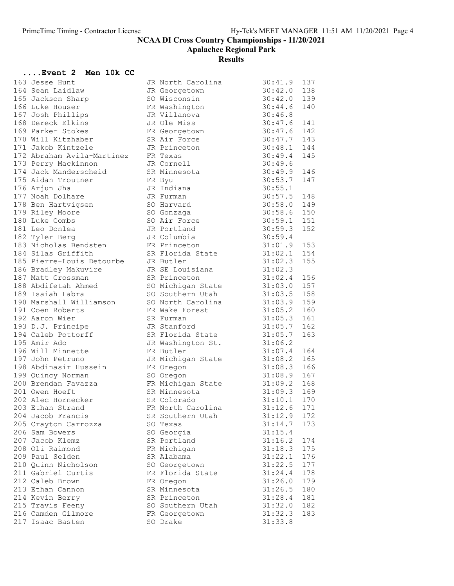Apalachee Regional Park

| Event 2 Men 10k CC                                           |                               |               |     |
|--------------------------------------------------------------|-------------------------------|---------------|-----|
| 163 Jesse Hunt                                               | JR North Carolina             | $30:41.9$ 137 |     |
| 164 Sean Laidlaw                                             | JR Georgetown                 | $30:42.0$ 138 |     |
|                                                              | SO Wisconsin                  | $30:42.0$ 139 |     |
|                                                              | FR Washington                 | 30:44.6       | 140 |
| 167 Josh Phillips                                            | JR Villanova                  | 30:46.8       |     |
| 168 Dereck Elkins                                            | JR Ole Miss                   | 30:47.6       | 141 |
| 169 Parker Stokes                                            | FR Georgetown                 | 30:47.6       | 142 |
| 170 Will Kitzhaber                                           | SR Air Force                  | $30:47.7$ 143 |     |
| 171 Jakob Kintzele                                           | JR Princeton                  | 30:48.1 144   |     |
| 172 Abraham Avila-Martinez                                   | FR Texas                      | $30:49.4$ 145 |     |
| 173 Perry Mackinnon                                          | JR Cornell                    | 30:49.6       |     |
| 174 Jack Manderscheid                                        | SR Minnesota                  | 30:49.9       | 146 |
| 175 Aidan Troutner                                           | FR Byu                        | 30:53.7       | 147 |
| 176 Arjun Jha                                                | JR Indiana                    | 30:55.1       |     |
| 177 Noah Dolhare                                             | JR Furman                     | $30:57.5$ 148 |     |
| 1778 Ben Hartvigsen<br>178 Ben Hartvigsen<br>179 Rilev Moore | SO Harvard                    | 30:58.0 149   |     |
|                                                              | SO Gonzaga                    | $30:58.6$ 150 |     |
| 180 Luke Combs                                               | SO Air Force                  | $30:59.1$ 151 |     |
| 181 Leo Donlea                                               | JR Portland                   | 30:59.3       | 152 |
| 182 Tyler Berg                                               | JR Columbia                   | 30:59.4       |     |
| 183 Nicholas Bendsten                                        | FR Princeton                  | $31:01.9$ 153 |     |
| 184 Silas Griffith                                           | SR Florida State              | $31:02.1$ 154 |     |
| 185 Pierre-Louis Detourbe                                    | JR Butler                     | 31:02.3       | 155 |
| 186 Bradley Makuvire                                         | JR SE Louisiana 31:02.3       |               |     |
| 187 Matt Grossman                                            | SR Princeton                  | $31:02.4$ 156 |     |
| 188 Abdifetah Ahmed                                          | SO Michigan State             | $31:03.0$ 157 |     |
| 189 Isaiah Labra                                             | SO Southern Utah              | $31:03.5$ 158 |     |
| 190 Marshall Williamson                                      | SO North Carolina             | $31:03.9$ 159 |     |
| 191 Coen Roberts                                             | FR Wake Forest                | 31:05.2       | 160 |
| 192 Aaron Wier                                               | SR Furman                     | 31:05.3       | 161 |
| 193 D.J. Principe                                            | JR Stanford                   | 31:05.7       | 162 |
| 194 Caleb Pottorff                                           | SR Florida State              | 31:05.7       | 163 |
| 195 Amir Ado                                                 | JR Washington St.             | 31:06.2       |     |
| 196 Will Minnette                                            | FR Butler                     | $31:07.4$ 164 |     |
| 197 John Petruno                                             | JR Michigan State 31:08.2 165 |               |     |
| 198 Abdinasir Hussein                                        | FR Oregon                     | 31:08.3 166   |     |
| 199 Quincy Norman                                            | SO Oregon                     | $31:08.9$ 167 |     |
| 200 Brendan Favazza                                          | FR Michigan State             | $31:09.2$ 168 |     |
| 201 Owen Hoeft                                               | SR Minnesota                  | $31:09.3$ 169 |     |
| 202 Alec Hornecker                                           | SR Colorado                   | $31:10.1$ 170 |     |
| 203 Ethan Strand                                             | FR North Carolina             | 31:12.6       | 171 |
| 204 Jacob Francis                                            | SR Southern Utah              | 31:12.9       | 172 |
| 205 Crayton Carrozza                                         | SO Texas                      | 31:14.7       | 173 |
| 206 Sam Bowers                                               | SO Georgia                    | 31:15.4       |     |
| 207 Jacob Klemz                                              | SR Portland                   | 31:16.2       | 174 |
| 208 Oli Raimond                                              | FR Michigan                   | 31:18.3       | 175 |
| 209 Paul Selden                                              | SR Alabama                    | 31:22.1       | 176 |
| 210 Quinn Nicholson                                          | SO Georgetown                 | 31:22.5       | 177 |
| 211 Gabriel Curtis                                           | FR Florida State              | 31:24.4       | 178 |
| 212 Caleb Brown                                              | FR Oregon                     | 31:26.0       | 179 |
| 213 Ethan Cannon                                             | SR Minnesota                  | 31:26.5       | 180 |
| 214 Kevin Berry                                              | SR Princeton                  | 31:28.4       | 181 |
| 215 Travis Feeny                                             | SO Southern Utah              | 31:32.0       | 182 |
| 216 Camden Gilmore                                           | FR Georgetown                 | 31:32.3       | 183 |
| 217 Isaac Basten                                             | SO Drake                      | 31:33.8       |     |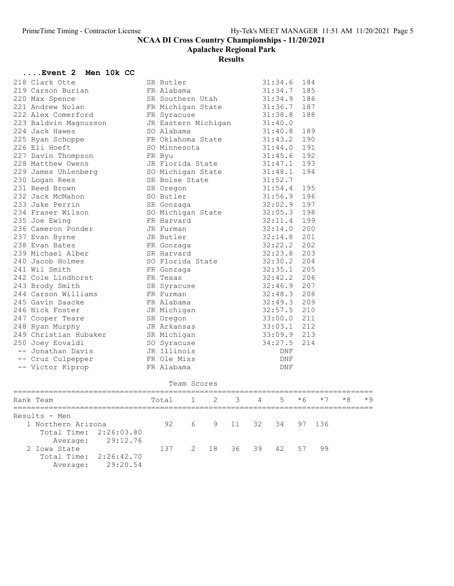Apalachee Regional Park

| <b>Event 2 Men 10k CC</b><br>218 Clark Otte SR Butler<br>220 Max Spence FR Alabama<br>220 Max Spence FR Michigan 31:34.6 184<br>222 Alex Comerford FR Syracuse 31:36.7 187<br>222 Alex Menusson JR Eastern Michigan 31:44.0 189<br>225 Ryan<br>234 Fraser Wilson<br>234 Fraser Wilson<br>236 Cameron Ponder<br>236 Cameron Ponder<br>236 Cameron Ponder<br>236 Cameron Ponder<br>236 Cameron Ponder<br>237 Evan Byrne<br>236 Cameron Ponder<br>237 Evan Byrne<br>236 Cameron Ponder<br>237 Evan Byr<br>Team Scores<br>Rank Team $\begin{array}{ccccccccc} 1 & 2 & 3 & 4 & 5 & *6 & *7 & *8 \\ 1 & 2 & 3 & 4 & 5 & *6 & *7 & *8 \\ 1 & 1 & 2 & 3 & 4 & 5 & *6 & *7 & *8 \\ 1 & 1 & 1 & 1 & 1 & 1 & 1 & *8 \\ 1 & 1 & 1 & 1 & 1 & 1 & 1 & *8 \\ 1 & 1 & 1 & 1 & 1 & 1 & 1 & *8 \\ 1 & 1 & 1 & 1 & 1 & 1 & 1 & *8 \\ 1 & 1 & 1 & 1 & 1 & 1 & 1 & *8 \\ 1 & 1 &$<br>$*9$<br>Results - Men<br>92<br>6<br>9<br>32<br>1 Northern Arizona<br>11<br>34<br>97<br>136<br>Total Time:<br>2:26:03.80<br>29:12.76<br>Average:<br>2 Iowa State<br>18<br>39<br>42<br>99<br>137<br>2<br>36<br>57<br>Total Time:<br>2:26:42.70<br>29:20.54<br>Average: | Event 2 Men 10k CC |  |  |  |  |  |  |
|--------------------------------------------------------------------------------------------------------------------------------------------------------------------------------------------------------------------------------------------------------------------------------------------------------------------------------------------------------------------------------------------------------------------------------------------------------------------------------------------------------------------------------------------------------------------------------------------------------------------------------------------------------------------------------------------------------------------------------------------------------------------------------------------------------------------------------------------------------------------------------------------------------------------------------------------------------------------------------------------------------------------------------------------------------------------------------------------------------------------------------------|--------------------|--|--|--|--|--|--|
|                                                                                                                                                                                                                                                                                                                                                                                                                                                                                                                                                                                                                                                                                                                                                                                                                                                                                                                                                                                                                                                                                                                                      |                    |  |  |  |  |  |  |
|                                                                                                                                                                                                                                                                                                                                                                                                                                                                                                                                                                                                                                                                                                                                                                                                                                                                                                                                                                                                                                                                                                                                      |                    |  |  |  |  |  |  |
|                                                                                                                                                                                                                                                                                                                                                                                                                                                                                                                                                                                                                                                                                                                                                                                                                                                                                                                                                                                                                                                                                                                                      |                    |  |  |  |  |  |  |
|                                                                                                                                                                                                                                                                                                                                                                                                                                                                                                                                                                                                                                                                                                                                                                                                                                                                                                                                                                                                                                                                                                                                      |                    |  |  |  |  |  |  |
|                                                                                                                                                                                                                                                                                                                                                                                                                                                                                                                                                                                                                                                                                                                                                                                                                                                                                                                                                                                                                                                                                                                                      |                    |  |  |  |  |  |  |
|                                                                                                                                                                                                                                                                                                                                                                                                                                                                                                                                                                                                                                                                                                                                                                                                                                                                                                                                                                                                                                                                                                                                      |                    |  |  |  |  |  |  |
|                                                                                                                                                                                                                                                                                                                                                                                                                                                                                                                                                                                                                                                                                                                                                                                                                                                                                                                                                                                                                                                                                                                                      |                    |  |  |  |  |  |  |
|                                                                                                                                                                                                                                                                                                                                                                                                                                                                                                                                                                                                                                                                                                                                                                                                                                                                                                                                                                                                                                                                                                                                      |                    |  |  |  |  |  |  |
|                                                                                                                                                                                                                                                                                                                                                                                                                                                                                                                                                                                                                                                                                                                                                                                                                                                                                                                                                                                                                                                                                                                                      |                    |  |  |  |  |  |  |
|                                                                                                                                                                                                                                                                                                                                                                                                                                                                                                                                                                                                                                                                                                                                                                                                                                                                                                                                                                                                                                                                                                                                      |                    |  |  |  |  |  |  |
|                                                                                                                                                                                                                                                                                                                                                                                                                                                                                                                                                                                                                                                                                                                                                                                                                                                                                                                                                                                                                                                                                                                                      |                    |  |  |  |  |  |  |
|                                                                                                                                                                                                                                                                                                                                                                                                                                                                                                                                                                                                                                                                                                                                                                                                                                                                                                                                                                                                                                                                                                                                      |                    |  |  |  |  |  |  |
|                                                                                                                                                                                                                                                                                                                                                                                                                                                                                                                                                                                                                                                                                                                                                                                                                                                                                                                                                                                                                                                                                                                                      |                    |  |  |  |  |  |  |
|                                                                                                                                                                                                                                                                                                                                                                                                                                                                                                                                                                                                                                                                                                                                                                                                                                                                                                                                                                                                                                                                                                                                      |                    |  |  |  |  |  |  |
|                                                                                                                                                                                                                                                                                                                                                                                                                                                                                                                                                                                                                                                                                                                                                                                                                                                                                                                                                                                                                                                                                                                                      |                    |  |  |  |  |  |  |
|                                                                                                                                                                                                                                                                                                                                                                                                                                                                                                                                                                                                                                                                                                                                                                                                                                                                                                                                                                                                                                                                                                                                      |                    |  |  |  |  |  |  |
|                                                                                                                                                                                                                                                                                                                                                                                                                                                                                                                                                                                                                                                                                                                                                                                                                                                                                                                                                                                                                                                                                                                                      |                    |  |  |  |  |  |  |
|                                                                                                                                                                                                                                                                                                                                                                                                                                                                                                                                                                                                                                                                                                                                                                                                                                                                                                                                                                                                                                                                                                                                      |                    |  |  |  |  |  |  |
|                                                                                                                                                                                                                                                                                                                                                                                                                                                                                                                                                                                                                                                                                                                                                                                                                                                                                                                                                                                                                                                                                                                                      |                    |  |  |  |  |  |  |
|                                                                                                                                                                                                                                                                                                                                                                                                                                                                                                                                                                                                                                                                                                                                                                                                                                                                                                                                                                                                                                                                                                                                      |                    |  |  |  |  |  |  |
|                                                                                                                                                                                                                                                                                                                                                                                                                                                                                                                                                                                                                                                                                                                                                                                                                                                                                                                                                                                                                                                                                                                                      |                    |  |  |  |  |  |  |
|                                                                                                                                                                                                                                                                                                                                                                                                                                                                                                                                                                                                                                                                                                                                                                                                                                                                                                                                                                                                                                                                                                                                      |                    |  |  |  |  |  |  |
|                                                                                                                                                                                                                                                                                                                                                                                                                                                                                                                                                                                                                                                                                                                                                                                                                                                                                                                                                                                                                                                                                                                                      |                    |  |  |  |  |  |  |
|                                                                                                                                                                                                                                                                                                                                                                                                                                                                                                                                                                                                                                                                                                                                                                                                                                                                                                                                                                                                                                                                                                                                      |                    |  |  |  |  |  |  |
|                                                                                                                                                                                                                                                                                                                                                                                                                                                                                                                                                                                                                                                                                                                                                                                                                                                                                                                                                                                                                                                                                                                                      |                    |  |  |  |  |  |  |
|                                                                                                                                                                                                                                                                                                                                                                                                                                                                                                                                                                                                                                                                                                                                                                                                                                                                                                                                                                                                                                                                                                                                      |                    |  |  |  |  |  |  |
|                                                                                                                                                                                                                                                                                                                                                                                                                                                                                                                                                                                                                                                                                                                                                                                                                                                                                                                                                                                                                                                                                                                                      |                    |  |  |  |  |  |  |
|                                                                                                                                                                                                                                                                                                                                                                                                                                                                                                                                                                                                                                                                                                                                                                                                                                                                                                                                                                                                                                                                                                                                      |                    |  |  |  |  |  |  |
|                                                                                                                                                                                                                                                                                                                                                                                                                                                                                                                                                                                                                                                                                                                                                                                                                                                                                                                                                                                                                                                                                                                                      |                    |  |  |  |  |  |  |
|                                                                                                                                                                                                                                                                                                                                                                                                                                                                                                                                                                                                                                                                                                                                                                                                                                                                                                                                                                                                                                                                                                                                      |                    |  |  |  |  |  |  |
|                                                                                                                                                                                                                                                                                                                                                                                                                                                                                                                                                                                                                                                                                                                                                                                                                                                                                                                                                                                                                                                                                                                                      |                    |  |  |  |  |  |  |
|                                                                                                                                                                                                                                                                                                                                                                                                                                                                                                                                                                                                                                                                                                                                                                                                                                                                                                                                                                                                                                                                                                                                      |                    |  |  |  |  |  |  |
|                                                                                                                                                                                                                                                                                                                                                                                                                                                                                                                                                                                                                                                                                                                                                                                                                                                                                                                                                                                                                                                                                                                                      |                    |  |  |  |  |  |  |
|                                                                                                                                                                                                                                                                                                                                                                                                                                                                                                                                                                                                                                                                                                                                                                                                                                                                                                                                                                                                                                                                                                                                      |                    |  |  |  |  |  |  |
|                                                                                                                                                                                                                                                                                                                                                                                                                                                                                                                                                                                                                                                                                                                                                                                                                                                                                                                                                                                                                                                                                                                                      |                    |  |  |  |  |  |  |
|                                                                                                                                                                                                                                                                                                                                                                                                                                                                                                                                                                                                                                                                                                                                                                                                                                                                                                                                                                                                                                                                                                                                      |                    |  |  |  |  |  |  |
|                                                                                                                                                                                                                                                                                                                                                                                                                                                                                                                                                                                                                                                                                                                                                                                                                                                                                                                                                                                                                                                                                                                                      |                    |  |  |  |  |  |  |
|                                                                                                                                                                                                                                                                                                                                                                                                                                                                                                                                                                                                                                                                                                                                                                                                                                                                                                                                                                                                                                                                                                                                      |                    |  |  |  |  |  |  |
|                                                                                                                                                                                                                                                                                                                                                                                                                                                                                                                                                                                                                                                                                                                                                                                                                                                                                                                                                                                                                                                                                                                                      |                    |  |  |  |  |  |  |
|                                                                                                                                                                                                                                                                                                                                                                                                                                                                                                                                                                                                                                                                                                                                                                                                                                                                                                                                                                                                                                                                                                                                      |                    |  |  |  |  |  |  |
|                                                                                                                                                                                                                                                                                                                                                                                                                                                                                                                                                                                                                                                                                                                                                                                                                                                                                                                                                                                                                                                                                                                                      |                    |  |  |  |  |  |  |
|                                                                                                                                                                                                                                                                                                                                                                                                                                                                                                                                                                                                                                                                                                                                                                                                                                                                                                                                                                                                                                                                                                                                      |                    |  |  |  |  |  |  |
|                                                                                                                                                                                                                                                                                                                                                                                                                                                                                                                                                                                                                                                                                                                                                                                                                                                                                                                                                                                                                                                                                                                                      |                    |  |  |  |  |  |  |
|                                                                                                                                                                                                                                                                                                                                                                                                                                                                                                                                                                                                                                                                                                                                                                                                                                                                                                                                                                                                                                                                                                                                      |                    |  |  |  |  |  |  |
|                                                                                                                                                                                                                                                                                                                                                                                                                                                                                                                                                                                                                                                                                                                                                                                                                                                                                                                                                                                                                                                                                                                                      |                    |  |  |  |  |  |  |
|                                                                                                                                                                                                                                                                                                                                                                                                                                                                                                                                                                                                                                                                                                                                                                                                                                                                                                                                                                                                                                                                                                                                      |                    |  |  |  |  |  |  |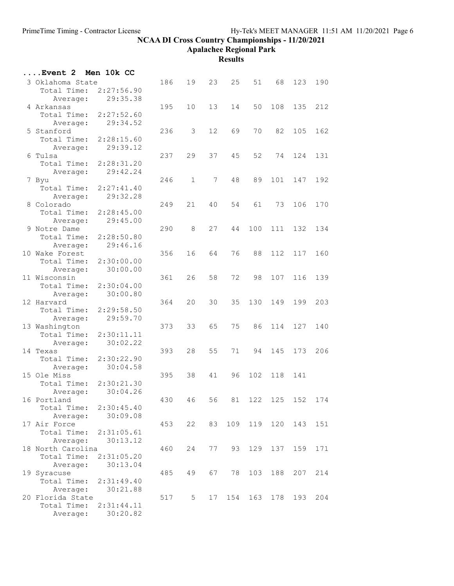Apalachee Regional Park

| Event 2                         | Men 10k CC |     |                |                 |     |     |         |                 |     |
|---------------------------------|------------|-----|----------------|-----------------|-----|-----|---------|-----------------|-----|
| 3 Oklahoma State                |            | 186 | 19             | 23              | 25  | 51  | 68      | 123             | 190 |
| Total Time:                     | 2:27:56.90 |     |                |                 |     |     |         |                 |     |
| Average:                        | 29:35.38   |     |                |                 |     |     |         |                 |     |
| 4 Arkansas                      |            | 195 | 10             | 13              | 14  | 50  | 108     | 135             | 212 |
| Total Time:                     | 2:27:52.60 |     |                |                 |     |     |         |                 |     |
| Average:                        | 29:34.52   |     |                |                 |     |     |         |                 |     |
| 5 Stanford                      |            | 236 | 3              | 12 <sup>°</sup> | 69  | 70  | 82      | 105             | 162 |
| Total Time:                     | 2:28:15.60 |     |                |                 |     |     |         |                 |     |
| Average:                        | 29:39.12   |     |                |                 |     |     |         |                 |     |
| 6 Tulsa                         |            | 237 | 29             | 37              | 45  | 52  | 74      | 124             | 131 |
| Total Time:                     | 2:28:31.20 |     |                |                 |     |     |         |                 |     |
| Average:                        | 29:42.24   |     |                |                 |     |     |         |                 |     |
| 7 Byu                           |            | 246 | $\mathbf{1}$   | 7               | 48  | 89  | 101     | 147             | 192 |
| Total Time:                     | 2:27:41.40 |     |                |                 |     |     |         |                 |     |
| Average:                        | 29:32.28   |     |                |                 |     |     |         |                 |     |
| 8 Colorado                      |            | 249 | 21             | 40              | 54  | 61  | 73      | 106             | 170 |
| Total Time:                     | 2:28:45.00 |     |                |                 |     |     |         |                 |     |
| Average:                        | 29:45.00   |     |                |                 |     |     |         |                 |     |
| 9 Notre Dame                    |            | 290 | 8              | 27              | 44  | 100 | 111     | 132             | 134 |
| Total Time:                     | 2:28:50.80 |     |                |                 |     |     |         |                 |     |
| Average:                        | 29:46.16   |     |                |                 |     |     |         |                 |     |
| 10 Wake Forest                  |            | 356 | 16             | 64              | 76  | 88  | 112     | 117             | 160 |
| Total Time:                     | 2:30:00.00 |     |                |                 |     |     |         |                 |     |
| Average:                        | 30:00.00   |     |                |                 |     |     |         |                 |     |
| 11 Wisconsin                    |            | 361 | 26             | 58              | 72  | 98  | 107     | 116             | 139 |
| Total Time:                     | 2:30:04.00 |     |                |                 |     |     |         |                 |     |
| Average:<br>12 Harvard          | 30:00.80   | 364 | 20             | 30              | 35  | 130 | 149     | 199             | 203 |
| Total Time:                     | 2:29:58.50 |     |                |                 |     |     |         |                 |     |
| Average:                        | 29:59.70   |     |                |                 |     |     |         |                 |     |
| 13 Washington                   |            | 373 | 33             | 65              | 75  | 86  | 114     | 127             | 140 |
| Total Time:                     | 2:30:11.11 |     |                |                 |     |     |         |                 |     |
| Average:                        | 30:02.22   |     |                |                 |     |     |         |                 |     |
| 14 Texas                        |            | 393 | 28             | 55              | 71  | 94  | 145     | 173             | 206 |
| Total Time:                     | 2:30:22.90 |     |                |                 |     |     |         |                 |     |
| Average:                        | 30:04.58   |     |                |                 |     |     |         |                 |     |
| 15 Ole Miss                     |            | 395 | 38             | 41              | 96  | 102 | 118     | 141             |     |
| Total Time:                     | 2:30:21.30 |     |                |                 |     |     |         |                 |     |
| Average:                        | 30:04.26   |     |                |                 |     |     |         |                 |     |
| 16 Portland                     |            | 430 | 46             | 56              | 81  |     |         | 122 125 152 174 |     |
| Total Time: 2:30:45.40          |            |     |                |                 |     |     |         |                 |     |
| Average:                        | 30:09.08   |     |                |                 |     |     |         |                 |     |
| 17 Air Force                    |            | 453 | 22             | 83              | 109 |     | 119 120 | 143             | 151 |
| Total Time:                     | 2:31:05.61 |     |                |                 |     |     |         |                 |     |
| Average:                        | 30:13.12   |     |                |                 |     |     |         |                 |     |
| 18 North Carolina               |            | 460 | 24             | 77              | 93  |     |         | 129 137 159     | 171 |
| Total Time:                     | 2:31:05.20 |     |                |                 |     |     |         |                 |     |
| Average:                        | 30:13.04   |     |                |                 |     |     |         |                 |     |
| 19 Syracuse                     |            | 485 | 49             | 67              | 78  | 103 | 188     | 207             | 214 |
| Total Time:                     | 2:31:49.40 |     |                |                 |     |     |         |                 |     |
| Average:                        | 30:21.88   |     |                |                 |     |     |         |                 |     |
| 20 Florida State<br>Total Time: | 2:31:44.11 | 517 | 5 <sup>5</sup> | 17              | 154 | 163 | 178     | 193             | 204 |
| Average:                        | 30:20.82   |     |                |                 |     |     |         |                 |     |
|                                 |            |     |                |                 |     |     |         |                 |     |